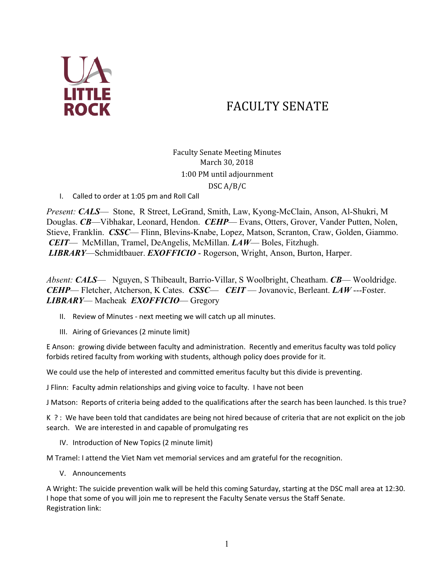

# FACULTY SENATE

Faculty Senate Meeting Minutes March 30, 2018 1:00 PM until adjournment DSC A/B/C

I. Called to order at 1:05 pm and Roll Call

*Present: CALS*— Stone, R Street, LeGrand, Smith, Law, Kyong-McClain, Anson, Al-Shukri, M Douglas. *CB*—Vibhakar, Leonard, Hendon. *CEHP*— Evans, Otters, Grover, Vander Putten, Nolen, Stieve, Franklin. *CSSC*— Flinn, Blevins-Knabe, Lopez, Matson, Scranton, Craw, Golden, Giammo.  *CEIT*— McMillan, Tramel, DeAngelis, McMillan. *LAW*— Boles, Fitzhugh. *LIBRARY*—Schmidtbauer. *EXOFFICIO* - Rogerson, Wright, Anson, Burton, Harper.

*Absent: CALS*— Nguyen, S Thibeault, Barrio-Villar, S Woolbright, Cheatham. *CB*— Wooldridge. *CEHP*— Fletcher, Atcherson, K Cates. *CSSC*— *CEIT* — Jovanovic, Berleant. *LAW* ---Foster. *LIBRARY*— Macheak *EXOFFICIO*— Gregory

- II. Review of Minutes next meeting we will catch up all minutes.
- III. Airing of Grievances (2 minute limit)

E Anson: growing divide between faculty and administration. Recently and emeritus faculty was told policy forbids retired faculty from working with students, although policy does provide for it.

We could use the help of interested and committed emeritus faculty but this divide is preventing.

J Flinn: Faculty admin relationships and giving voice to faculty. I have not been

J Matson: Reports of criteria being added to the qualifications after the search has been launched. Is this true?

K ? : We have been told that candidates are being not hired because of criteria that are not explicit on the job search. We are interested in and capable of promulgating res

IV. Introduction of New Topics (2 minute limit)

M Tramel: I attend the Viet Nam vet memorial services and am grateful for the recognition.

V. Announcements

A Wright: The suicide prevention walk will be held this coming Saturday, starting at the DSC mall area at 12:30. I hope that some of you will join me to represent the Faculty Senate versus the Staff Senate. Registration link: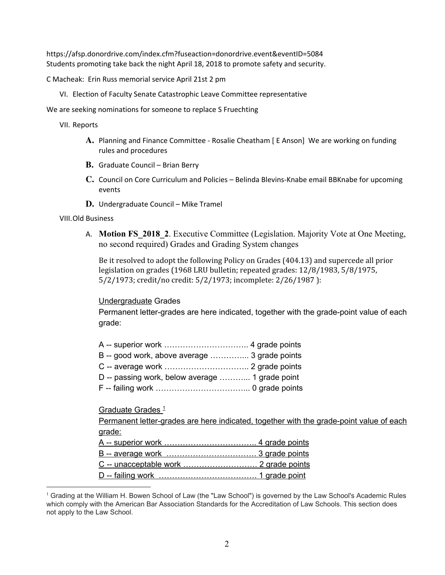https://afsp.donordrive.com/index.cfm?fuseaction=donordrive.event&eventID=5084 Students promoting take back the night April 18, 2018 to promote safety and security.

C Macheak: Erin Russ memorial service April 21st 2 pm

VI. Election of Faculty Senate Catastrophic Leave Committee representative

We are seeking nominations for someone to replace S Fruechting

VII. Reports

- **A.** Planning and Finance Committee Rosalie Cheatham [ E Anson] We are working on funding rules and procedures
- **B.** Graduate Council Brian Berry
- **C.** Council on Core Curriculum and Policies Belinda Blevins-Knabe email BBKnabe for upcoming events
- **D.** Undergraduate Council Mike Tramel

#### VIII.Old Business

A. **Motion FS\_2018\_2**. Executive Committee (Legislation. Majority Vote at One Meeting, no second required) Grades and Grading System changes

Be it resolved to adopt the following Policy on Grades (404.13) and supercede all prior legislation on grades (1968 LRU bulletin; repeated grades: 12/8/1983, 5/8/1975, 5/2/1973; credit/no credit: 5/2/1973; incomplete: 2/26/1987 ):

# Undergraduate Grades

Permanent letter-grades are here indicated, together with the grade-point value of each grade:

- B -- good work, above average …………... 3 grade points
- C -- average work ………………………….. 2 grade points
- D -- passing work, below average ………... 1 grade point
- F -- failing work ……………………………... 0 grade points

# Graduate Grades<sup>1</sup>

Permanent letter-grades are here indicated, together with the grade-point value of each grade:

- A -- superior work …………………………….. 4 grade points
- B -- average work ……………………………. 3 grade points
- C -- unacceptable work ………………………. 2 grade points
- D -- failing work ………………………………. 1 grade point

<sup>&</sup>lt;sup>1</sup> Grading at the William H. Bowen School of Law (the "Law School") is governed by the Law School's Academic Rules which comply with the American Bar Association Standards for the Accreditation of Law Schools. This section does not apply to the Law School.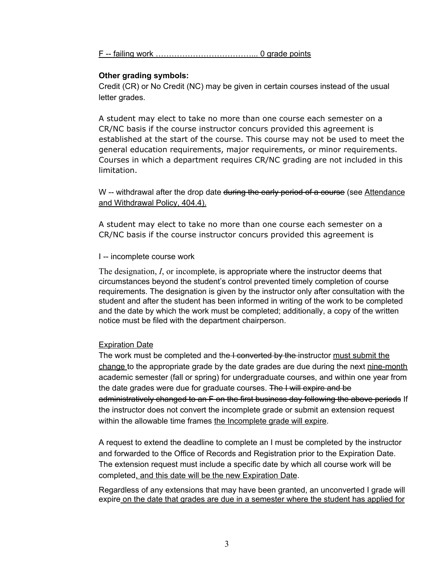F -- failing work ………………………………... 0 grade points

#### **Other grading symbols:**

Credit (CR) or No Credit (NC) may be given in certain courses instead of the usual letter grades.

A student may elect to take no more than one course each semester on a CR/NC basis if the course instructor concurs provided this agreement is established at the start of the course. This course may not be used to meet the general education requirements, major requirements, or minor requirements. Courses in which a department requires CR/NC grading are not included in this limitation.

W -- withdrawal after the drop date during the early period of a course (see Attendance and Withdrawal Policy, 404.4).

A student may elect to take no more than one course each semester on a CR/NC basis if the course instructor concurs provided this agreement is

#### I -- incomplete course work

The designation, *I*, or incomplete, is appropriate where the instructor deems that circumstances beyond the student's control prevented timely completion of course requirements. The designation is given by the instructor only after consultation with the student and after the student has been informed in writing of the work to be completed and the date by which the work must be completed; additionally, a copy of the written notice must be filed with the department chairperson.

# Expiration Date

The work must be completed and the I converted by the instructor must submit the change to the appropriate grade by the date grades are due during the next nine-month academic semester (fall or spring) for undergraduate courses, and within one year from the date grades were due for graduate courses. The I will expire and be administratively changed to an F on the first business day following the above periods If the instructor does not convert the incomplete grade or submit an extension request within the allowable time frames the Incomplete grade will expire.

A request to extend the deadline to complete an I must be completed by the instructor and forwarded to the Office of Records and Registration prior to the Expiration Date. The extension request must include a specific date by which all course work will be completed, and this date will be the new Expiration Date.

Regardless of any extensions that may have been granted, an unconverted I grade will expire on the date that grades are due in a semester where the student has applied for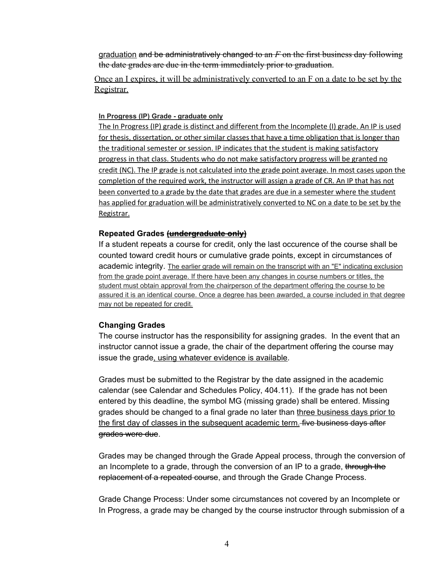graduation and be administratively changed to an *F* on the first business day following the date grades are due in the term immediately prior to graduation.

Once an I expires, it will be administratively converted to an F on a date to be set by the Registrar.

#### **In Progress (IP) Grade - graduate only**

The In Progress (IP) grade is distinct and different from the Incomplete (I) grade. An IP is used for thesis, dissertation, or other similar classes that have a time obligation that is longer than the traditional semester or session. IP indicates that the student is making satisfactory progress in that class. Students who do not make satisfactory progress will be granted no credit (NC). The IP grade is not calculated into the grade point average. In most cases upon the completion of the required work, the instructor will assign a grade of CR. An IP that has not been converted to a grade by the date that grades are due in a semester where the student has applied for graduation will be administratively converted to NC on a date to be set by the Registrar.

# **Repeated Grades (undergraduate only)**

If a student repeats a course for credit, only the last occurence of the course shall be counted toward credit hours or cumulative grade points, except in circumstances of academic integrity. The earlier grade will remain on the transcript with an "E" indicating exclusion from the grade point average. If there have been any changes in course numbers or titles, the student must obtain approval from the chairperson of the department offering the course to be assured it is an identical course. Once a degree has been awarded, a course included in that degree may not be repeated for credit.

# **Changing Grades**

The course instructor has the responsibility for assigning grades. In the event that an instructor cannot issue a grade, the chair of the department offering the course may issue the grade, using whatever evidence is available.

Grades must be submitted to the Registrar by the date assigned in the academic calendar (see Calendar and Schedules Policy, 404.11). If the grade has not been entered by this deadline, the symbol MG (missing grade) shall be entered. Missing grades should be changed to a final grade no later than three business days prior to the first day of classes in the subsequent academic term. five business days after grades were due.

Grades may be changed through the Grade Appeal process, through the conversion of an Incomplete to a grade, through the conversion of an IP to a grade, through the replacement of a repeated course, and through the Grade Change Process.

Grade Change Process: Under some circumstances not covered by an Incomplete or In Progress, a grade may be changed by the course instructor through submission of a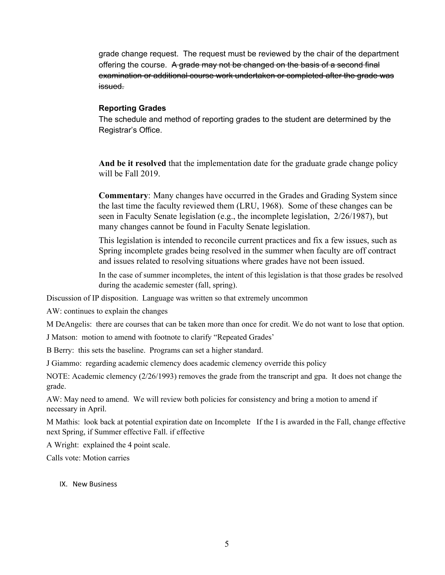grade change request. The request must be reviewed by the chair of the department offering the course. A grade may not be changed on the basis of a second final examination or additional course work undertaken or completed after the grade was issued.

# **Reporting Grades**

The schedule and method of reporting grades to the student are determined by the Registrar's Office.

**And be it resolved** that the implementation date for the graduate grade change policy will be Fall 2019.

**Commentary**: Many changes have occurred in the Grades and Grading System since the last time the faculty reviewed them (LRU, 1968). Some of these changes can be seen in Faculty Senate legislation (e.g., the incomplete legislation, 2/26/1987), but many changes cannot be found in Faculty Senate legislation.

This legislation is intended to reconcile current practices and fix a few issues, such as Spring incomplete grades being resolved in the summer when faculty are off contract and issues related to resolving situations where grades have not been issued.

In the case of summer incompletes, the intent of this legislation is that those grades be resolved during the academic semester (fall, spring).

Discussion of IP disposition. Language was written so that extremely uncommon

AW: continues to explain the changes

M DeAngelis: there are courses that can be taken more than once for credit. We do not want to lose that option.

J Matson: motion to amend with footnote to clarify "Repeated Grades'

B Berry: this sets the baseline. Programs can set a higher standard.

J Giammo: regarding academic clemency does academic clemency override this policy

NOTE: Academic clemency (2/26/1993) removes the grade from the transcript and gpa. It does not change the grade.

AW: May need to amend. We will review both policies for consistency and bring a motion to amend if necessary in April.

M Mathis: look back at potential expiration date on Incomplete If the I is awarded in the Fall, change effective next Spring, if Summer effective Fall. if effective

A Wright: explained the 4 point scale.

Calls vote: Motion carries

#### IX. New Business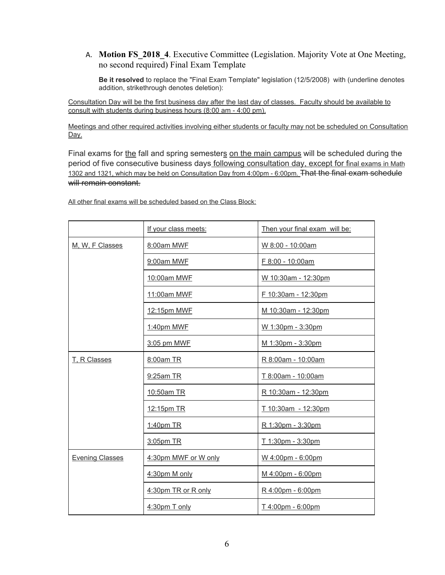# A. **Motion FS\_2018\_4**. Executive Committee (Legislation. Majority Vote at One Meeting, no second required) Final Exam Template

**Be it resolved** to replace the "Final Exam Template" legislation (12/5/2008) with (underline denotes addition, strikethrough denotes deletion):

Consultation Day will be the first business day after the last day of classes. Faculty should be available to consult with students during business hours (8:00 am - 4:00 pm).

Meetings and other required activities involving either students or faculty may not be scheduled on Consultation Day.

Final exams for the fall and spring semesters on the main campus will be scheduled during the period of five consecutive business days following consultation day, except for final exams in Math 1302 and 1321, which may be held on Consultation Day from 4:00pm - 6:00pm. That the final exam schedule will remain constant.

|                        | If your class meets: | Then your final exam will be: |
|------------------------|----------------------|-------------------------------|
| M, W, F Classes        | 8:00am MWF           | W 8:00 - 10:00am              |
|                        | 9:00am MWF           | F 8:00 - 10:00am              |
|                        | 10:00am MWF          | W 10:30am - 12:30pm           |
|                        | 11:00am MWF          | F 10:30am - 12:30pm           |
|                        | 12:15pm MWF          | M 10:30am - 12:30pm           |
|                        | 1:40pm MWF           | W 1:30pm - 3:30pm             |
|                        | 3:05 pm MWF          | M 1:30pm - 3:30pm             |
| T. R Classes           | 8:00am TR            | R 8:00am - 10:00am            |
|                        | 9:25am TR            | T 8:00am - 10:00am            |
|                        | 10:50am TR           | R 10:30am - 12:30pm           |
|                        | 12:15pm TR           | T 10:30am - 12:30pm           |
|                        | 1:40pm TR            | R 1:30pm - 3:30pm             |
|                        | 3:05pm TR            | T 1:30pm - 3:30pm             |
| <b>Evening Classes</b> | 4:30pm MWF or W only | W 4:00pm - 6:00pm             |
|                        | 4:30pm M only        | M 4:00pm - 6:00pm             |
|                        | 4:30pm TR or R only  | R 4:00pm - 6:00pm             |
|                        | 4:30pm T only        | T 4:00pm - 6:00pm             |

All other final exams will be scheduled based on the Class Block: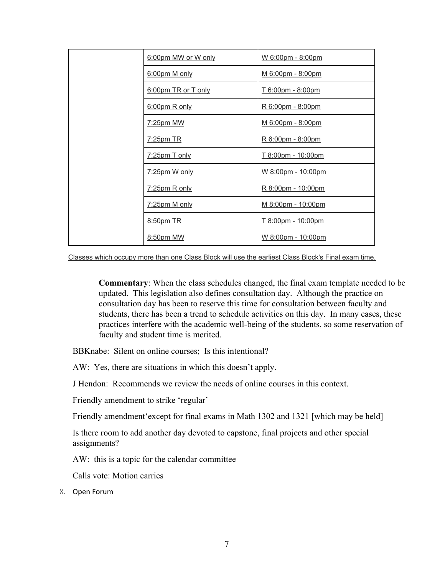| 6:00pm MW or W only | W 6:00pm - 8:00pm         |
|---------------------|---------------------------|
| 6:00pm M only       | M 6:00pm - 8:00pm         |
| 6:00pm TR or T only | <u>T 6:00pm - 8:00pm</u>  |
| 6:00pm R only       | R 6:00pm - 8:00pm         |
| 7:25pm MW           | M 6:00pm - 8:00pm         |
| 7:25pm TR           | R 6:00pm - 8:00pm         |
| 7:25pm T only       | <u>T 8:00pm - 10:00pm</u> |
| 7:25pm W only       | W 8:00pm - 10:00pm        |
| 7:25pm R only       | R 8:00pm - 10:00pm        |
| 7:25pm M only       | M 8:00pm - 10:00pm        |
| 8:50pm TR           | T 8:00pm - 10:00pm        |
| 8:50pm MW           | W 8:00pm - 10:00pm        |

Classes which occupy more than one Class Block will use the earliest Class Block's Final exam time.

**Commentary**: When the class schedules changed, the final exam template needed to be updated. This legislation also defines consultation day. Although the practice on consultation day has been to reserve this time for consultation between faculty and students, there has been a trend to schedule activities on this day. In many cases, these practices interfere with the academic well-being of the students, so some reservation of faculty and student time is merited.

BBKnabe: Silent on online courses; Is this intentional?

AW: Yes, there are situations in which this doesn't apply.

J Hendon: Recommends we review the needs of online courses in this context.

Friendly amendment to strike 'regular'

Friendly amendment'except for final exams in Math 1302 and 1321 [which may be held]

Is there room to add another day devoted to capstone, final projects and other special assignments?

AW: this is a topic for the calendar committee

Calls vote: Motion carries

X. Open Forum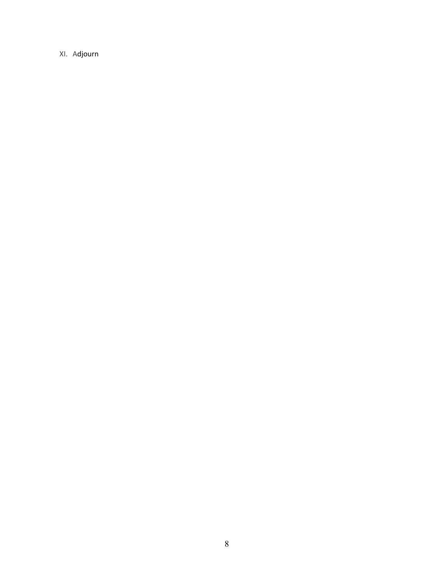XI. Adjourn